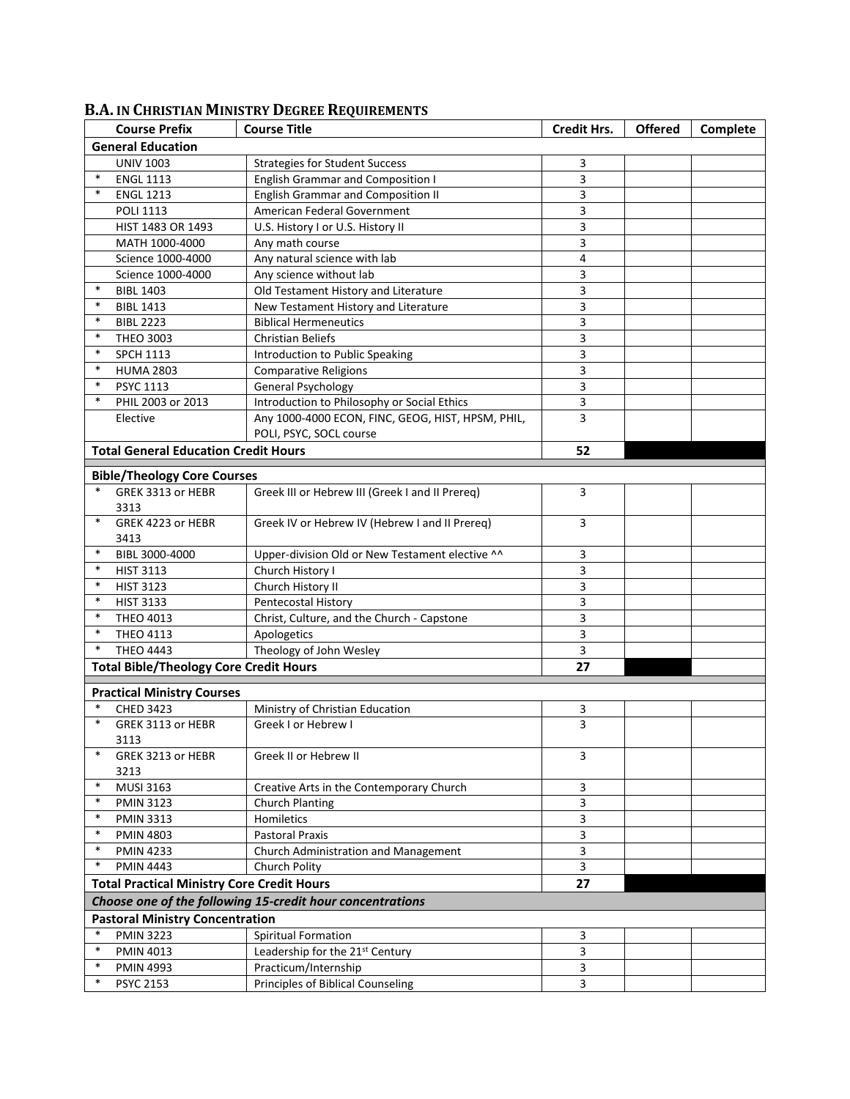|                                                           | <b>Course Prefix</b>                              | <b>Course Title</b>                               | <b>Credit Hrs.</b> | <b>Offered</b> | Complete |  |  |  |
|-----------------------------------------------------------|---------------------------------------------------|---------------------------------------------------|--------------------|----------------|----------|--|--|--|
| <b>General Education</b>                                  |                                                   |                                                   |                    |                |          |  |  |  |
|                                                           | <b>UNIV 1003</b>                                  | <b>Strategies for Student Success</b>             | 3                  |                |          |  |  |  |
| $\ast$                                                    | <b>ENGL 1113</b>                                  | <b>English Grammar and Composition I</b>          | 3                  |                |          |  |  |  |
| $\ast$                                                    | <b>ENGL 1213</b>                                  | <b>English Grammar and Composition II</b>         | 3                  |                |          |  |  |  |
|                                                           | <b>POLI 1113</b>                                  | American Federal Government                       | 3                  |                |          |  |  |  |
|                                                           | HIST 1483 OR 1493                                 | U.S. History I or U.S. History II                 | 3                  |                |          |  |  |  |
|                                                           | MATH 1000-4000                                    | Any math course                                   | 3                  |                |          |  |  |  |
|                                                           | Science 1000-4000                                 | Any natural science with lab                      | $\overline{4}$     |                |          |  |  |  |
|                                                           | Science 1000-4000                                 | Any science without lab                           | 3                  |                |          |  |  |  |
| $\ast$                                                    | <b>BIBL 1403</b>                                  | Old Testament History and Literature              | 3                  |                |          |  |  |  |
| $\ast$                                                    | <b>BIBL 1413</b>                                  | New Testament History and Literature              | 3                  |                |          |  |  |  |
| $\ast$                                                    | <b>BIBL 2223</b>                                  | <b>Biblical Hermeneutics</b>                      | 3                  |                |          |  |  |  |
| $\ast$                                                    | <b>THEO 3003</b>                                  | <b>Christian Beliefs</b>                          | 3                  |                |          |  |  |  |
| $\ast$                                                    | <b>SPCH 1113</b>                                  | Introduction to Public Speaking                   | 3                  |                |          |  |  |  |
| $\ast$                                                    | <b>HUMA 2803</b>                                  | <b>Comparative Religions</b>                      | 3                  |                |          |  |  |  |
| $\ast$                                                    | <b>PSYC 1113</b>                                  | <b>General Psychology</b>                         | 3                  |                |          |  |  |  |
| $\ast$                                                    | PHIL 2003 or 2013                                 | Introduction to Philosophy or Social Ethics       | 3                  |                |          |  |  |  |
|                                                           | Elective                                          | Any 1000-4000 ECON, FINC, GEOG, HIST, HPSM, PHIL, | 3                  |                |          |  |  |  |
|                                                           |                                                   | POLI, PSYC, SOCL course                           |                    |                |          |  |  |  |
|                                                           | <b>Total General Education Credit Hours</b>       |                                                   | 52                 |                |          |  |  |  |
|                                                           | <b>Bible/Theology Core Courses</b>                |                                                   |                    |                |          |  |  |  |
| $\ast$                                                    | GREK 3313 or HEBR                                 |                                                   | 3                  |                |          |  |  |  |
|                                                           | 3313                                              | Greek III or Hebrew III (Greek I and II Prereq)   |                    |                |          |  |  |  |
| $\ast$                                                    | GREK 4223 or HEBR<br>3413                         | Greek IV or Hebrew IV (Hebrew I and II Prereq)    | 3                  |                |          |  |  |  |
| $\ast$                                                    | BIBL 3000-4000                                    | Upper-division Old or New Testament elective ^^   | 3                  |                |          |  |  |  |
| $\ast$                                                    | <b>HIST 3113</b>                                  | Church History I                                  | 3                  |                |          |  |  |  |
| $\ast$                                                    | <b>HIST 3123</b>                                  | Church History II                                 | 3                  |                |          |  |  |  |
| $\ast$                                                    | <b>HIST 3133</b>                                  | Pentecostal History                               | 3                  |                |          |  |  |  |
| $\ast$                                                    | <b>THEO 4013</b>                                  | Christ, Culture, and the Church - Capstone        | 3                  |                |          |  |  |  |
| $\ast$                                                    | <b>THEO 4113</b>                                  | Apologetics                                       | 3                  |                |          |  |  |  |
| $\ast$                                                    | <b>THEO 4443</b>                                  | Theology of John Wesley                           | 3                  |                |          |  |  |  |
|                                                           | <b>Total Bible/Theology Core Credit Hours</b>     |                                                   | 27                 |                |          |  |  |  |
| <b>Practical Ministry Courses</b>                         |                                                   |                                                   |                    |                |          |  |  |  |
|                                                           | <b>CHED 3423</b>                                  | Ministry of Christian Education                   | 3                  |                |          |  |  |  |
| $\ast$                                                    | GREK 3113 or HEBR                                 | Greek I or Hebrew I                               | 3                  |                |          |  |  |  |
|                                                           | 3113                                              |                                                   |                    |                |          |  |  |  |
| $\ast$                                                    | GREK 3213 or HEBR<br>3213                         | Greek II or Hebrew II                             | 3                  |                |          |  |  |  |
| $\ast$                                                    | MUSI 3163                                         | Creative Arts in the Contemporary Church          | 3                  |                |          |  |  |  |
| $\ast$                                                    | <b>PMIN 3123</b>                                  | <b>Church Planting</b>                            | 3                  |                |          |  |  |  |
| $\ast$                                                    | <b>PMIN 3313</b>                                  | Homiletics                                        | 3                  |                |          |  |  |  |
| $\ast$                                                    | <b>PMIN 4803</b>                                  | <b>Pastoral Praxis</b>                            | 3                  |                |          |  |  |  |
| $\ast$                                                    | <b>PMIN 4233</b>                                  | Church Administration and Management              | 3                  |                |          |  |  |  |
| $\ast$                                                    | <b>PMIN 4443</b>                                  | Church Polity                                     | 3                  |                |          |  |  |  |
|                                                           | <b>Total Practical Ministry Core Credit Hours</b> |                                                   | 27                 |                |          |  |  |  |
| Choose one of the following 15-credit hour concentrations |                                                   |                                                   |                    |                |          |  |  |  |
| <b>Pastoral Ministry Concentration</b>                    |                                                   |                                                   |                    |                |          |  |  |  |
| $\ast$                                                    | <b>PMIN 3223</b>                                  | Spiritual Formation                               | 3                  |                |          |  |  |  |
| $\ast$                                                    | <b>PMIN 4013</b>                                  | Leadership for the 21 <sup>st</sup> Century       | 3                  |                |          |  |  |  |
| $\ast$                                                    | <b>PMIN 4993</b>                                  | Practicum/Internship                              | 3                  |                |          |  |  |  |
| $\ast$                                                    | <b>PSYC 2153</b>                                  | <b>Principles of Biblical Counseling</b>          | 3                  |                |          |  |  |  |

## **B.A. IN CHRISTIAN MINISTRY DEGREE REQUIREMENTS**